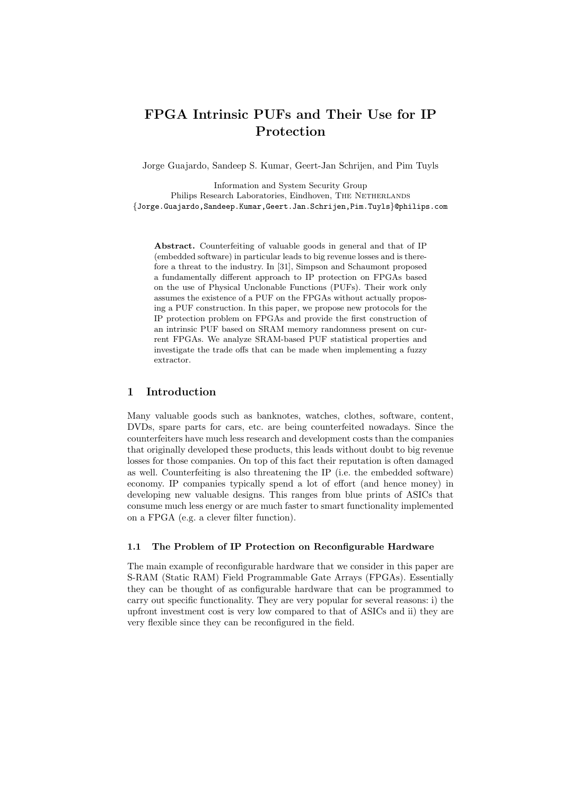# FPGA Intrinsic PUFs and Their Use for IP Protection

Jorge Guajardo, Sandeep S. Kumar, Geert-Jan Schrijen, and Pim Tuyls

Information and System Security Group Philips Research Laboratories, Eindhoven, THE NETHERLANDS {Jorge.Guajardo,Sandeep.Kumar,Geert.Jan.Schrijen,Pim.Tuyls}@philips.com

Abstract. Counterfeiting of valuable goods in general and that of IP (embedded software) in particular leads to big revenue losses and is therefore a threat to the industry. In [31], Simpson and Schaumont proposed a fundamentally different approach to IP protection on FPGAs based on the use of Physical Unclonable Functions (PUFs). Their work only assumes the existence of a PUF on the FPGAs without actually proposing a PUF construction. In this paper, we propose new protocols for the IP protection problem on FPGAs and provide the first construction of an intrinsic PUF based on SRAM memory randomness present on current FPGAs. We analyze SRAM-based PUF statistical properties and investigate the trade offs that can be made when implementing a fuzzy extractor.

### 1 Introduction

Many valuable goods such as banknotes, watches, clothes, software, content, DVDs, spare parts for cars, etc. are being counterfeited nowadays. Since the counterfeiters have much less research and development costs than the companies that originally developed these products, this leads without doubt to big revenue losses for those companies. On top of this fact their reputation is often damaged as well. Counterfeiting is also threatening the IP (i.e. the embedded software) economy. IP companies typically spend a lot of effort (and hence money) in developing new valuable designs. This ranges from blue prints of ASICs that consume much less energy or are much faster to smart functionality implemented on a FPGA (e.g. a clever filter function).

#### 1.1 The Problem of IP Protection on Reconfigurable Hardware

The main example of reconfigurable hardware that we consider in this paper are S-RAM (Static RAM) Field Programmable Gate Arrays (FPGAs). Essentially they can be thought of as configurable hardware that can be programmed to carry out specific functionality. They are very popular for several reasons: i) the upfront investment cost is very low compared to that of ASICs and ii) they are very flexible since they can be reconfigured in the field.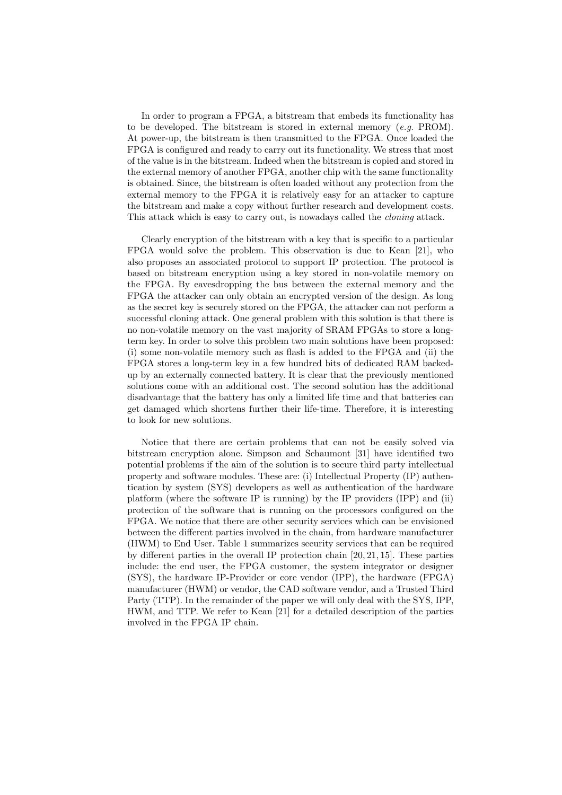In order to program a FPGA, a bitstream that embeds its functionality has to be developed. The bitstream is stored in external memory  $(e.g. \text{PROM})$ . At power-up, the bitstream is then transmitted to the FPGA. Once loaded the FPGA is configured and ready to carry out its functionality. We stress that most of the value is in the bitstream. Indeed when the bitstream is copied and stored in the external memory of another FPGA, another chip with the same functionality is obtained. Since, the bitstream is often loaded without any protection from the external memory to the FPGA it is relatively easy for an attacker to capture the bitstream and make a copy without further research and development costs. This attack which is easy to carry out, is nowadays called the *cloning* attack.

Clearly encryption of the bitstream with a key that is specific to a particular FPGA would solve the problem. This observation is due to Kean [21], who also proposes an associated protocol to support IP protection. The protocol is based on bitstream encryption using a key stored in non-volatile memory on the FPGA. By eavesdropping the bus between the external memory and the FPGA the attacker can only obtain an encrypted version of the design. As long as the secret key is securely stored on the FPGA, the attacker can not perform a successful cloning attack. One general problem with this solution is that there is no non-volatile memory on the vast majority of SRAM FPGAs to store a longterm key. In order to solve this problem two main solutions have been proposed: (i) some non-volatile memory such as flash is added to the FPGA and (ii) the FPGA stores a long-term key in a few hundred bits of dedicated RAM backedup by an externally connected battery. It is clear that the previously mentioned solutions come with an additional cost. The second solution has the additional disadvantage that the battery has only a limited life time and that batteries can get damaged which shortens further their life-time. Therefore, it is interesting to look for new solutions.

Notice that there are certain problems that can not be easily solved via bitstream encryption alone. Simpson and Schaumont [31] have identified two potential problems if the aim of the solution is to secure third party intellectual property and software modules. These are: (i) Intellectual Property (IP) authentication by system (SYS) developers as well as authentication of the hardware platform (where the software IP is running) by the IP providers (IPP) and (ii) protection of the software that is running on the processors configured on the FPGA. We notice that there are other security services which can be envisioned between the different parties involved in the chain, from hardware manufacturer (HWM) to End User. Table 1 summarizes security services that can be required by different parties in the overall IP protection chain [20, 21, 15]. These parties include: the end user, the FPGA customer, the system integrator or designer (SYS), the hardware IP-Provider or core vendor (IPP), the hardware (FPGA) manufacturer (HWM) or vendor, the CAD software vendor, and a Trusted Third Party (TTP). In the remainder of the paper we will only deal with the SYS, IPP, HWM, and TTP. We refer to Kean [21] for a detailed description of the parties involved in the FPGA IP chain.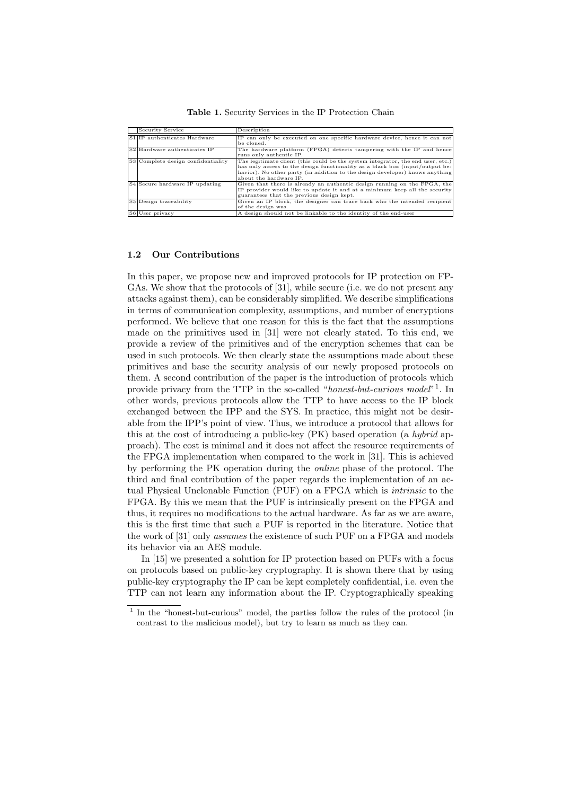| Security Service                   | Description                                                                     |
|------------------------------------|---------------------------------------------------------------------------------|
| S1 IP authenticates Hardware       | IP can only be executed on one specific hardware device, hence it can not       |
|                                    | be cloned.                                                                      |
| S2 Hardware authenticates IP       | The hardware platform (FPGA) detects tampering with the IP and hence            |
|                                    | runs only authentic IP.                                                         |
| S3 Complete design confidentiality | The legitimate client (this could be the system integrator, the end user, etc.) |
|                                    | has only access to the design functionality as a black box (input/output be-    |
|                                    | havior). No other party (in addition to the design developer) knows anything    |
|                                    | about the hardware IP.                                                          |
| S4 Secure hardware IP updating     | Given that there is already an authentic design running on the FPGA, the        |
|                                    | IP provider would like to update it and at a minimum keep all the security      |
|                                    | guarantees that the previous design kept.                                       |
| S5 Design traceability             | Given an IP block, the designer can trace back who the intended recipient       |
|                                    | of the design was.                                                              |
| S6 User privacy                    | A design should not be linkable to the identity of the end-user                 |

Table 1. Security Services in the IP Protection Chain

# 1.2 Our Contributions

In this paper, we propose new and improved protocols for IP protection on FP-GAs. We show that the protocols of [31], while secure (i.e. we do not present any attacks against them), can be considerably simplified. We describe simplifications in terms of communication complexity, assumptions, and number of encryptions performed. We believe that one reason for this is the fact that the assumptions made on the primitives used in [31] were not clearly stated. To this end, we provide a review of the primitives and of the encryption schemes that can be used in such protocols. We then clearly state the assumptions made about these primitives and base the security analysis of our newly proposed protocols on them. A second contribution of the paper is the introduction of protocols which provide privacy from the TTP in the so-called "honest-but-curious model"<sup>1</sup>. In other words, previous protocols allow the TTP to have access to the IP block exchanged between the IPP and the SYS. In practice, this might not be desirable from the IPP's point of view. Thus, we introduce a protocol that allows for this at the cost of introducing a public-key (PK) based operation (a hybrid approach). The cost is minimal and it does not affect the resource requirements of the FPGA implementation when compared to the work in [31]. This is achieved by performing the PK operation during the online phase of the protocol. The third and final contribution of the paper regards the implementation of an actual Physical Unclonable Function (PUF) on a FPGA which is intrinsic to the FPGA. By this we mean that the PUF is intrinsically present on the FPGA and thus, it requires no modifications to the actual hardware. As far as we are aware, this is the first time that such a PUF is reported in the literature. Notice that the work of [31] only assumes the existence of such PUF on a FPGA and models its behavior via an AES module.

In [15] we presented a solution for IP protection based on PUFs with a focus on protocols based on public-key cryptography. It is shown there that by using public-key cryptography the IP can be kept completely confidential, i.e. even the TTP can not learn any information about the IP. Cryptographically speaking

<sup>&</sup>lt;sup>1</sup> In the "honest-but-curious" model, the parties follow the rules of the protocol (in contrast to the malicious model), but try to learn as much as they can.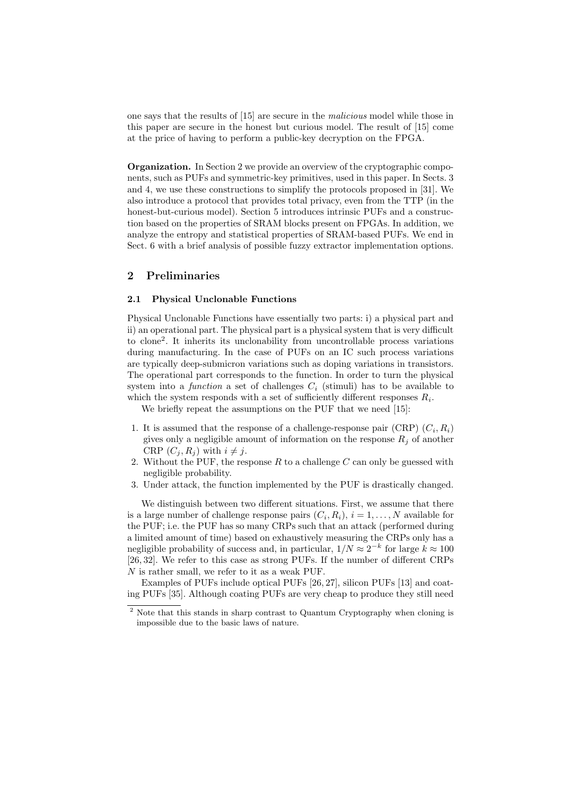one says that the results of [15] are secure in the malicious model while those in this paper are secure in the honest but curious model. The result of [15] come at the price of having to perform a public-key decryption on the FPGA.

Organization. In Section 2 we provide an overview of the cryptographic components, such as PUFs and symmetric-key primitives, used in this paper. In Sects. 3 and 4, we use these constructions to simplify the protocols proposed in [31]. We also introduce a protocol that provides total privacy, even from the TTP (in the honest-but-curious model). Section 5 introduces intrinsic PUFs and a construction based on the properties of SRAM blocks present on FPGAs. In addition, we analyze the entropy and statistical properties of SRAM-based PUFs. We end in Sect. 6 with a brief analysis of possible fuzzy extractor implementation options.

# 2 Preliminaries

#### 2.1 Physical Unclonable Functions

Physical Unclonable Functions have essentially two parts: i) a physical part and ii) an operational part. The physical part is a physical system that is very difficult to clone<sup>2</sup> . It inherits its unclonability from uncontrollable process variations during manufacturing. In the case of PUFs on an IC such process variations are typically deep-submicron variations such as doping variations in transistors. The operational part corresponds to the function. In order to turn the physical system into a function a set of challenges  $C_i$  (stimuli) has to be available to which the system responds with a set of sufficiently different responses  $R_i$ .

We briefly repeat the assumptions on the PUF that we need [15]:

- 1. It is assumed that the response of a challenge-response pair (CRP)  $(C_i, R_i)$ gives only a negligible amount of information on the response  $R_i$  of another CRP  $(C_i, R_j)$  with  $i \neq j$ .
- 2. Without the PUF, the response  $R$  to a challenge  $C$  can only be guessed with negligible probability.
- 3. Under attack, the function implemented by the PUF is drastically changed.

We distinguish between two different situations. First, we assume that there is a large number of challenge response pairs  $(C_i, R_i), i = 1, ..., N$  available for the PUF; i.e. the PUF has so many CRPs such that an attack (performed during a limited amount of time) based on exhaustively measuring the CRPs only has a negligible probability of success and, in particular,  $1/N \approx 2^{-k}$  for large  $k \approx 100$ [26, 32]. We refer to this case as strong PUFs. If the number of different CRPs N is rather small, we refer to it as a weak PUF.

Examples of PUFs include optical PUFs [26, 27], silicon PUFs [13] and coating PUFs [35]. Although coating PUFs are very cheap to produce they still need

<sup>&</sup>lt;sup>2</sup> Note that this stands in sharp contrast to Quantum Cryptography when cloning is impossible due to the basic laws of nature.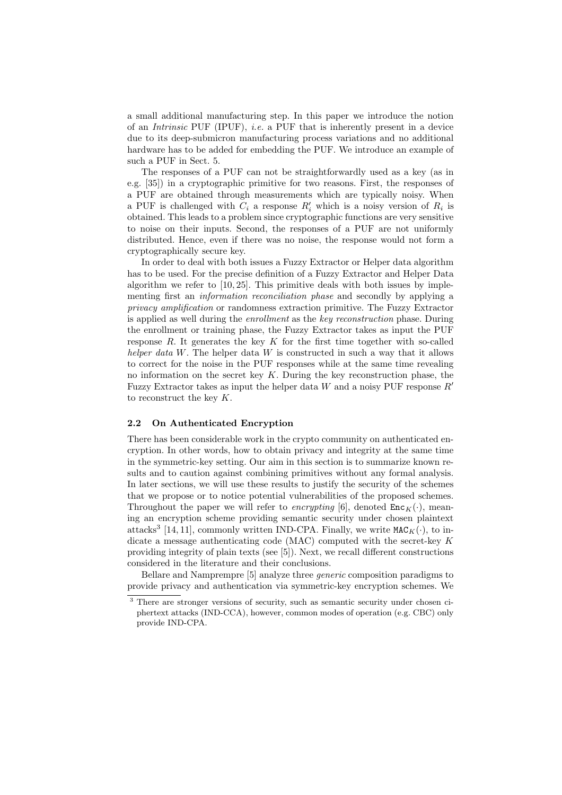a small additional manufacturing step. In this paper we introduce the notion of an *Intrinsic* PUF (IPUF), *i.e.* a PUF that is inherently present in a device due to its deep-submicron manufacturing process variations and no additional hardware has to be added for embedding the PUF. We introduce an example of such a PUF in Sect. 5.

The responses of a PUF can not be straightforwardly used as a key (as in e.g. [35]) in a cryptographic primitive for two reasons. First, the responses of a PUF are obtained through measurements which are typically noisy. When a PUF is challenged with  $C_i$  a response  $R'_i$  which is a noisy version of  $R_i$  is obtained. This leads to a problem since cryptographic functions are very sensitive to noise on their inputs. Second, the responses of a PUF are not uniformly distributed. Hence, even if there was no noise, the response would not form a cryptographically secure key.

In order to deal with both issues a Fuzzy Extractor or Helper data algorithm has to be used. For the precise definition of a Fuzzy Extractor and Helper Data algorithm we refer to [10, 25]. This primitive deals with both issues by implementing first an *information reconciliation phase* and secondly by applying a privacy amplification or randomness extraction primitive. The Fuzzy Extractor is applied as well during the enrollment as the key reconstruction phase. During the enrollment or training phase, the Fuzzy Extractor takes as input the PUF response  $R$ . It generates the key  $K$  for the first time together with so-called helper data W. The helper data W is constructed in such a way that it allows to correct for the noise in the PUF responses while at the same time revealing no information on the secret key  $K$ . During the key reconstruction phase, the Fuzzy Extractor takes as input the helper data W and a noisy PUF response  $R'$ to reconstruct the key  $K$ .

#### 2.2 On Authenticated Encryption

There has been considerable work in the crypto community on authenticated encryption. In other words, how to obtain privacy and integrity at the same time in the symmetric-key setting. Our aim in this section is to summarize known results and to caution against combining primitives without any formal analysis. In later sections, we will use these results to justify the security of the schemes that we propose or to notice potential vulnerabilities of the proposed schemes. Throughout the paper we will refer to encrypting [6], denoted  $\text{Enc}_{K}(\cdot)$ , meaning an encryption scheme providing semantic security under chosen plaintext attacks<sup>3</sup> [14, 11], commonly written IND-CPA. Finally, we write  $\texttt{MAC}_{K}(\cdot)$ , to indicate a message authenticating code (MAC) computed with the secret-key  $K$ providing integrity of plain texts (see [5]). Next, we recall different constructions considered in the literature and their conclusions.

Bellare and Namprempre [5] analyze three generic composition paradigms to provide privacy and authentication via symmetric-key encryption schemes. We

<sup>3</sup> There are stronger versions of security, such as semantic security under chosen ciphertext attacks (IND-CCA), however, common modes of operation (e.g. CBC) only provide IND-CPA.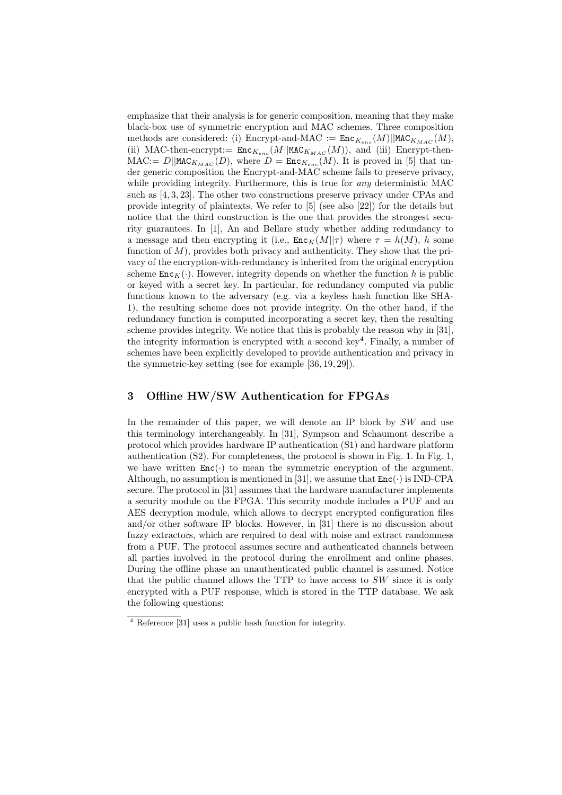emphasize that their analysis is for generic composition, meaning that they make black-box use of symmetric encryption and MAC schemes. Three composition methods are considered: (i) Encrypt-and-MAC  $:=$   $\text{Enc}_{K_{enc}}(M)||$ MAC $_{K_{MAC}}(M)$ , (ii) MAC-then-encrypt:=  $\text{Enc}_{K_{enc}}(M|| \text{MAC}_{K_{MAC}}(M))$ , and (iii) Encrypt-then- $\text{MAC} := D \mid \text{MAC}_{K_{MAC}}(D)$ , where  $D = \text{Enc}_{K_{enc}}(M)$ . It is proved in [5] that under generic composition the Encrypt-and-MAC scheme fails to preserve privacy, while providing integrity. Furthermore, this is true for *any* deterministic MAC such as [4, 3, 23]. The other two constructions preserve privacy under CPAs and provide integrity of plaintexts. We refer to [5] (see also [22]) for the details but notice that the third construction is the one that provides the strongest security guarantees. In [1], An and Bellare study whether adding redundancy to a message and then encrypting it (i.e.,  $\text{Enc}_{K}(M||\tau)$  where  $\tau = h(M)$ , h some function of  $M$ ), provides both privacy and authenticity. They show that the privacy of the encryption-with-redundancy is inherited from the original encryption scheme  $\text{Enc}_{K}(\cdot)$ . However, integrity depends on whether the function h is public or keyed with a secret key. In particular, for redundancy computed via public functions known to the adversary (e.g. via a keyless hash function like SHA-1), the resulting scheme does not provide integrity. On the other hand, if the redundancy function is computed incorporating a secret key, then the resulting scheme provides integrity. We notice that this is probably the reason why in [31], the integrity information is encrypted with a second key<sup>4</sup>. Finally, a number of schemes have been explicitly developed to provide authentication and privacy in the symmetric-key setting (see for example [36, 19, 29]).

## 3 Offline HW/SW Authentication for FPGAs

In the remainder of this paper, we will denote an IP block by SW and use this terminology interchangeably. In [31], Sympson and Schaumont describe a protocol which provides hardware IP authentication (S1) and hardware platform authentication (S2). For completeness, the protocol is shown in Fig. 1. In Fig. 1, we have written  $Enc(\cdot)$  to mean the symmetric encryption of the argument. Although, no assumption is mentioned in [31], we assume that  $Enc(\cdot)$  is IND-CPA secure. The protocol in [31] assumes that the hardware manufacturer implements a security module on the FPGA. This security module includes a PUF and an AES decryption module, which allows to decrypt encrypted configuration files and/or other software IP blocks. However, in [31] there is no discussion about fuzzy extractors, which are required to deal with noise and extract randomness from a PUF. The protocol assumes secure and authenticated channels between all parties involved in the protocol during the enrollment and online phases. During the offline phase an unauthenticated public channel is assumed. Notice that the public channel allows the TTP to have access to SW since it is only encrypted with a PUF response, which is stored in the TTP database. We ask the following questions:

<sup>4</sup> Reference [31] uses a public hash function for integrity.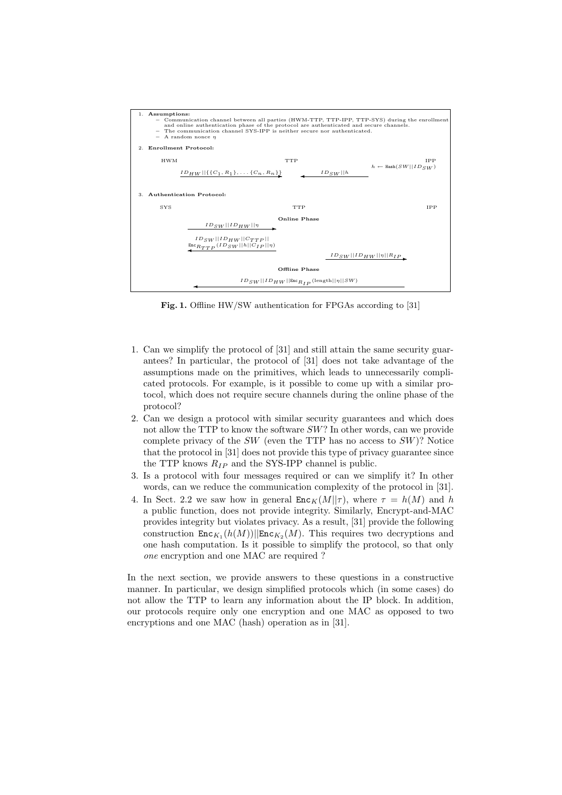

Fig. 1. Offline HW/SW authentication for FPGAs according to [31]

- 1. Can we simplify the protocol of [31] and still attain the same security guarantees? In particular, the protocol of [31] does not take advantage of the assumptions made on the primitives, which leads to unnecessarily complicated protocols. For example, is it possible to come up with a similar protocol, which does not require secure channels during the online phase of the protocol?
- 2. Can we design a protocol with similar security guarantees and which does not allow the TTP to know the software SW? In other words, can we provide complete privacy of the  $SW$  (even the TTP has no access to  $SW$ )? Notice that the protocol in [31] does not provide this type of privacy guarantee since the TTP knows  $R_{IP}$  and the SYS-IPP channel is public.
- 3. Is a protocol with four messages required or can we simplify it? In other words, can we reduce the communication complexity of the protocol in [31].
- 4. In Sect. 2.2 we saw how in general  $\text{Enc}_K(M||\tau)$ , where  $\tau = h(M)$  and h a public function, does not provide integrity. Similarly, Encrypt-and-MAC provides integrity but violates privacy. As a result, [31] provide the following construction  $\text{Enc}_{K_1}(h(M))||\text{Enc}_{K_2}(M)$ . This requires two decryptions and one hash computation. Is it possible to simplify the protocol, so that only one encryption and one MAC are required ?

In the next section, we provide answers to these questions in a constructive manner. In particular, we design simplified protocols which (in some cases) do not allow the TTP to learn any information about the IP block. In addition, our protocols require only one encryption and one MAC as opposed to two encryptions and one MAC (hash) operation as in [31].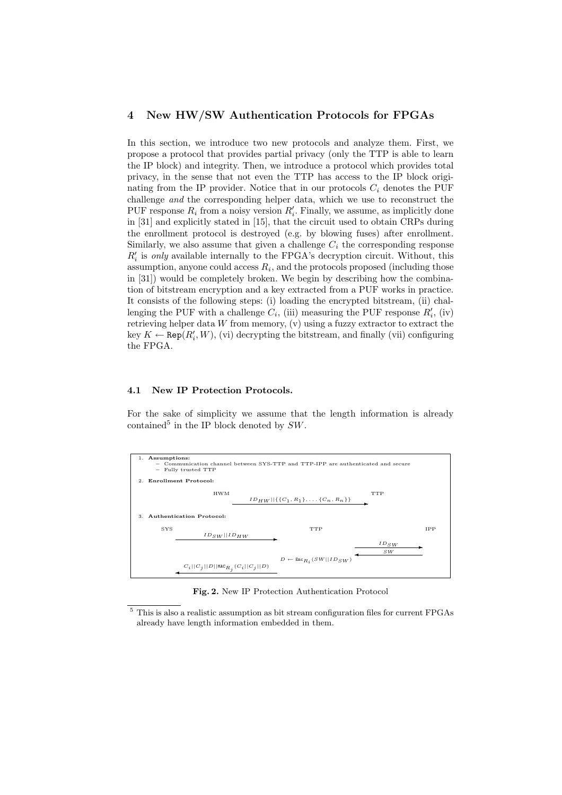#### 4 New HW/SW Authentication Protocols for FPGAs

In this section, we introduce two new protocols and analyze them. First, we propose a protocol that provides partial privacy (only the TTP is able to learn the IP block) and integrity. Then, we introduce a protocol which provides total privacy, in the sense that not even the TTP has access to the IP block originating from the IP provider. Notice that in our protocols  $C_i$  denotes the PUF challenge and the corresponding helper data, which we use to reconstruct the PUF response  $R_i$  from a noisy version  $R'_i$ . Finally, we assume, as implicitly done in [31] and explicitly stated in [15], that the circuit used to obtain CRPs during the enrollment protocol is destroyed (e.g. by blowing fuses) after enrollment. Similarly, we also assume that given a challenge  $C_i$  the corresponding response  $R_i'$  is only available internally to the FPGA's decryption circuit. Without, this assumption, anyone could access  $R_i$ , and the protocols proposed (including those in [31]) would be completely broken. We begin by describing how the combination of bitstream encryption and a key extracted from a PUF works in practice. It consists of the following steps: (i) loading the encrypted bitstream, (ii) challenging the PUF with a challenge  $C_i$ , (iii) measuring the PUF response  $R'_i$ , (iv) retrieving helper data  $W$  from memory,  $(v)$  using a fuzzy extractor to extract the key  $K \leftarrow \text{Rep}(R'_i, W)$ , (vi) decrypting the bitstream, and finally (vii) configuring the FPGA.

## 4.1 New IP Protection Protocols.

For the sake of simplicity we assume that the length information is already contained<sup>5</sup> in the IP block denoted by  $SW$ .



Fig. 2. New IP Protection Authentication Protocol

<sup>5</sup> This is also a realistic assumption as bit stream configuration files for current FPGAs already have length information embedded in them.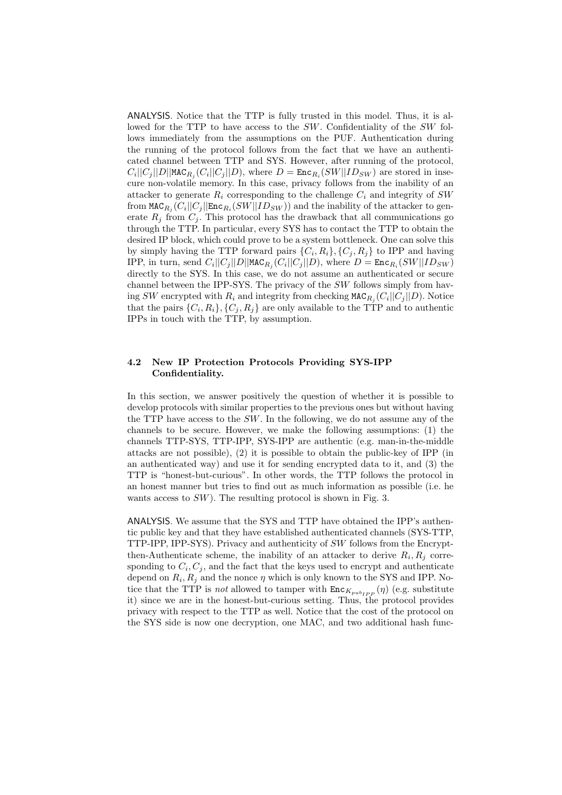ANALYSIS. Notice that the TTP is fully trusted in this model. Thus, it is allowed for the TTP to have access to the SW. Confidentiality of the SW follows immediately from the assumptions on the PUF. Authentication during the running of the protocol follows from the fact that we have an authenticated channel between TTP and SYS. However, after running of the protocol,  $C_i||C_j||D||$ MAC<sub>R<sub>j</sub></sub> $(C_i||C_j||D)$ , where  $D = \text{Enc}_{R_i}(SW||ID_{SW})$  are stored in insecure non-volatile memory. In this case, privacy follows from the inability of an attacker to generate  $R_i$  corresponding to the challenge  $C_i$  and integrity of SW from  $\texttt{MAC}_{R_j}(C_i || C_j || \texttt{Enc}_{R_i}(SW || ID_{SW}))$  and the inability of the attacker to generate  $R_j$  from  $C_j$ . This protocol has the drawback that all communications go through the TTP. In particular, every SYS has to contact the TTP to obtain the desired IP block, which could prove to be a system bottleneck. One can solve this by simply having the TTP forward pairs  $\{C_i, R_i\}, \{C_j, R_j\}$  to IPP and having IPP, in turn, send  $C_i||C_j||D||$ MAC $_{R_j}(C_i||C_j||D)$ , where  $D = \text{Enc}_{R_i}(SW||ID_{SW})$ directly to the SYS. In this case, we do not assume an authenticated or secure channel between the IPP-SYS. The privacy of the SW follows simply from having SW encrypted with  $R_i$  and integrity from checking  $\texttt{MAC}_{R_j}(C_i||C_j||D)$ . Notice that the pairs  $\{C_i, R_i\}, \{C_j, R_j\}$  are only available to the TTP and to authentic IPPs in touch with the TTP, by assumption.

#### 4.2 New IP Protection Protocols Providing SYS-IPP Confidentiality.

In this section, we answer positively the question of whether it is possible to develop protocols with similar properties to the previous ones but without having the TTP have access to the  $SW$ . In the following, we do not assume any of the channels to be secure. However, we make the following assumptions: (1) the channels TTP-SYS, TTP-IPP, SYS-IPP are authentic (e.g. man-in-the-middle attacks are not possible), (2) it is possible to obtain the public-key of IPP (in an authenticated way) and use it for sending encrypted data to it, and (3) the TTP is "honest-but-curious". In other words, the TTP follows the protocol in an honest manner but tries to find out as much information as possible (i.e. he wants access to  $SW$ ). The resulting protocol is shown in Fig. 3.

ANALYSIS. We assume that the SYS and TTP have obtained the IPP's authentic public key and that they have established authenticated channels (SYS-TTP, TTP-IPP, IPP-SYS). Privacy and authenticity of SW follows from the Encryptthen-Authenticate scheme, the inability of an attacker to derive  $R_i, R_j$  corresponding to  $C_i, C_j$ , and the fact that the keys used to encrypt and authenticate depend on  $R_i, R_j$  and the nonce  $\eta$  which is only known to the SYS and IPP. Notice that the TTP is *not* allowed to tamper with  $\text{Enc}_{K_{pub_{IPP}}}(\eta)$  (e.g. substitute it) since we are in the honest-but-curious setting. Thus, the protocol provides privacy with respect to the TTP as well. Notice that the cost of the protocol on the SYS side is now one decryption, one MAC, and two additional hash func-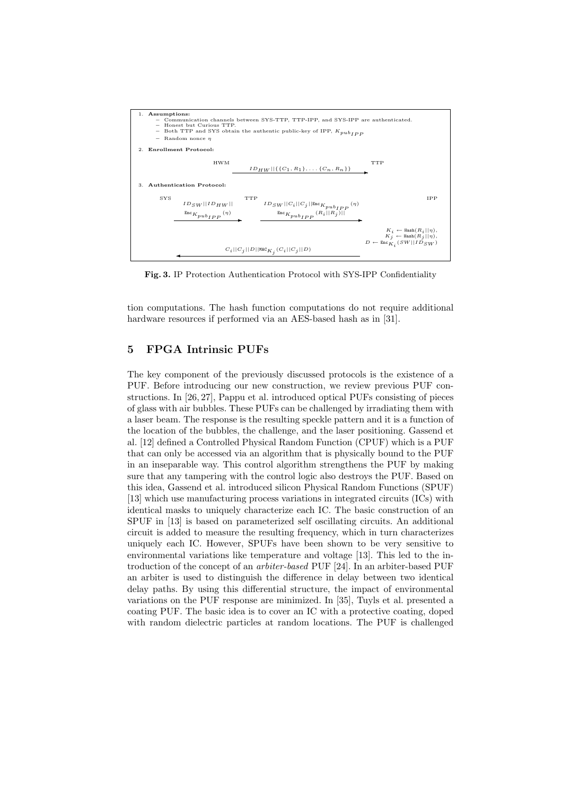

Fig. 3. IP Protection Authentication Protocol with SYS-IPP Confidentiality

tion computations. The hash function computations do not require additional hardware resources if performed via an AES-based hash as in [31].

## 5 FPGA Intrinsic PUFs

The key component of the previously discussed protocols is the existence of a PUF. Before introducing our new construction, we review previous PUF constructions. In [26, 27], Pappu et al. introduced optical PUFs consisting of pieces of glass with air bubbles. These PUFs can be challenged by irradiating them with a laser beam. The response is the resulting speckle pattern and it is a function of the location of the bubbles, the challenge, and the laser positioning. Gassend et al. [12] defined a Controlled Physical Random Function (CPUF) which is a PUF that can only be accessed via an algorithm that is physically bound to the PUF in an inseparable way. This control algorithm strengthens the PUF by making sure that any tampering with the control logic also destroys the PUF. Based on this idea, Gassend et al. introduced silicon Physical Random Functions (SPUF) [13] which use manufacturing process variations in integrated circuits (ICs) with identical masks to uniquely characterize each IC. The basic construction of an SPUF in [13] is based on parameterized self oscillating circuits. An additional circuit is added to measure the resulting frequency, which in turn characterizes uniquely each IC. However, SPUFs have been shown to be very sensitive to environmental variations like temperature and voltage [13]. This led to the introduction of the concept of an arbiter-based PUF [24]. In an arbiter-based PUF an arbiter is used to distinguish the difference in delay between two identical delay paths. By using this differential structure, the impact of environmental variations on the PUF response are minimized. In [35], Tuyls et al. presented a coating PUF. The basic idea is to cover an IC with a protective coating, doped with random dielectric particles at random locations. The PUF is challenged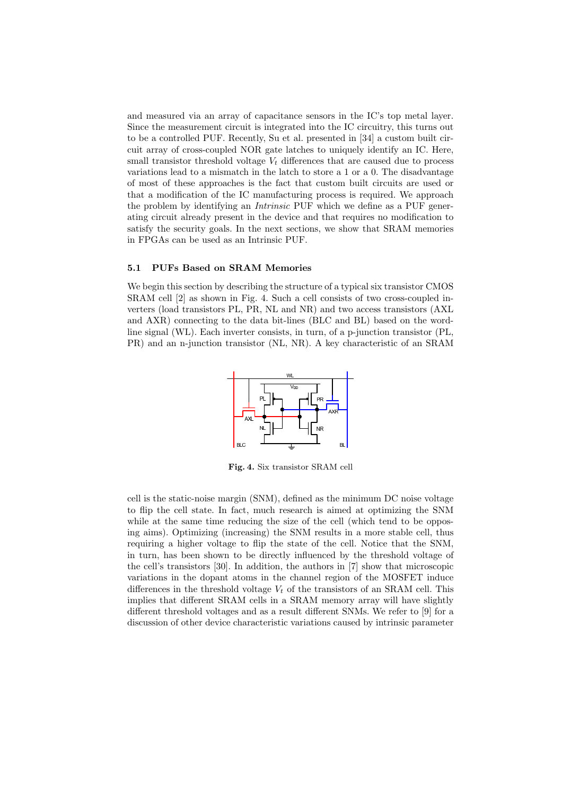and measured via an array of capacitance sensors in the IC's top metal layer. Since the measurement circuit is integrated into the IC circuitry, this turns out to be a controlled PUF. Recently, Su et al. presented in [34] a custom built circuit array of cross-coupled NOR gate latches to uniquely identify an IC. Here, small transistor threshold voltage  $V_t$  differences that are caused due to process variations lead to a mismatch in the latch to store a 1 or a 0. The disadvantage of most of these approaches is the fact that custom built circuits are used or that a modification of the IC manufacturing process is required. We approach the problem by identifying an Intrinsic PUF which we define as a PUF generating circuit already present in the device and that requires no modification to satisfy the security goals. In the next sections, we show that SRAM memories in FPGAs can be used as an Intrinsic PUF.

#### 5.1 PUFs Based on SRAM Memories

We begin this section by describing the structure of a typical six transistor CMOS SRAM cell [2] as shown in Fig. 4. Such a cell consists of two cross-coupled inverters (load transistors PL, PR, NL and NR) and two access transistors (AXL and AXR) connecting to the data bit-lines (BLC and BL) based on the wordline signal (WL). Each inverter consists, in turn, of a p-junction transistor (PL, PR) and an n-junction transistor (NL, NR). A key characteristic of an SRAM



Fig. 4. Six transistor SRAM cell

cell is the static-noise margin (SNM), defined as the minimum DC noise voltage to flip the cell state. In fact, much research is aimed at optimizing the SNM while at the same time reducing the size of the cell (which tend to be opposing aims). Optimizing (increasing) the SNM results in a more stable cell, thus requiring a higher voltage to flip the state of the cell. Notice that the SNM, in turn, has been shown to be directly influenced by the threshold voltage of the cell's transistors [30]. In addition, the authors in [7] show that microscopic variations in the dopant atoms in the channel region of the MOSFET induce differences in the threshold voltage  $V_t$  of the transistors of an SRAM cell. This implies that different SRAM cells in a SRAM memory array will have slightly different threshold voltages and as a result different SNMs. We refer to [9] for a discussion of other device characteristic variations caused by intrinsic parameter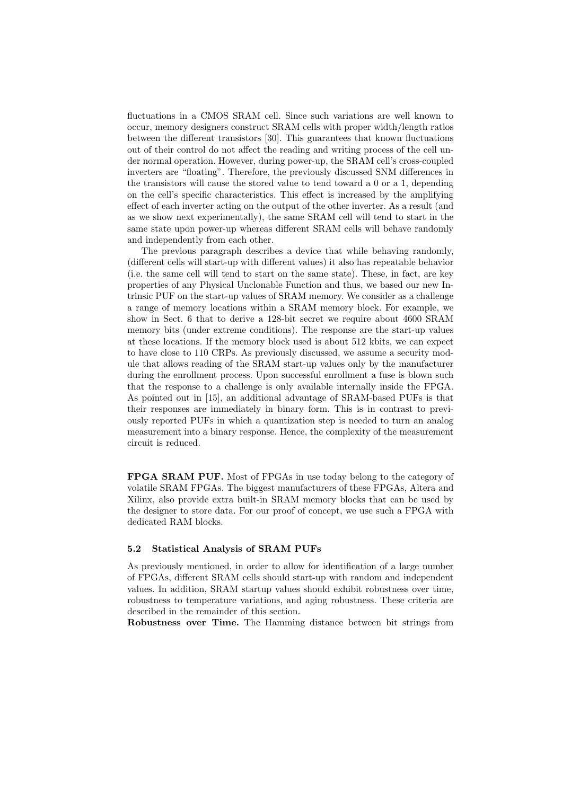fluctuations in a CMOS SRAM cell. Since such variations are well known to occur, memory designers construct SRAM cells with proper width/length ratios between the different transistors [30]. This guarantees that known fluctuations out of their control do not affect the reading and writing process of the cell under normal operation. However, during power-up, the SRAM cell's cross-coupled inverters are "floating". Therefore, the previously discussed SNM differences in the transistors will cause the stored value to tend toward a 0 or a 1, depending on the cell's specific characteristics. This effect is increased by the amplifying effect of each inverter acting on the output of the other inverter. As a result (and as we show next experimentally), the same SRAM cell will tend to start in the same state upon power-up whereas different SRAM cells will behave randomly and independently from each other.

The previous paragraph describes a device that while behaving randomly, (different cells will start-up with different values) it also has repeatable behavior (i.e. the same cell will tend to start on the same state). These, in fact, are key properties of any Physical Unclonable Function and thus, we based our new Intrinsic PUF on the start-up values of SRAM memory. We consider as a challenge a range of memory locations within a SRAM memory block. For example, we show in Sect. 6 that to derive a 128-bit secret we require about 4600 SRAM memory bits (under extreme conditions). The response are the start-up values at these locations. If the memory block used is about 512 kbits, we can expect to have close to 110 CRPs. As previously discussed, we assume a security module that allows reading of the SRAM start-up values only by the manufacturer during the enrollment process. Upon successful enrollment a fuse is blown such that the response to a challenge is only available internally inside the FPGA. As pointed out in [15], an additional advantage of SRAM-based PUFs is that their responses are immediately in binary form. This is in contrast to previously reported PUFs in which a quantization step is needed to turn an analog measurement into a binary response. Hence, the complexity of the measurement circuit is reduced.

FPGA SRAM PUF. Most of FPGAs in use today belong to the category of volatile SRAM FPGAs. The biggest manufacturers of these FPGAs, Altera and Xilinx, also provide extra built-in SRAM memory blocks that can be used by the designer to store data. For our proof of concept, we use such a FPGA with dedicated RAM blocks.

#### 5.2 Statistical Analysis of SRAM PUFs

As previously mentioned, in order to allow for identification of a large number of FPGAs, different SRAM cells should start-up with random and independent values. In addition, SRAM startup values should exhibit robustness over time, robustness to temperature variations, and aging robustness. These criteria are described in the remainder of this section.

Robustness over Time. The Hamming distance between bit strings from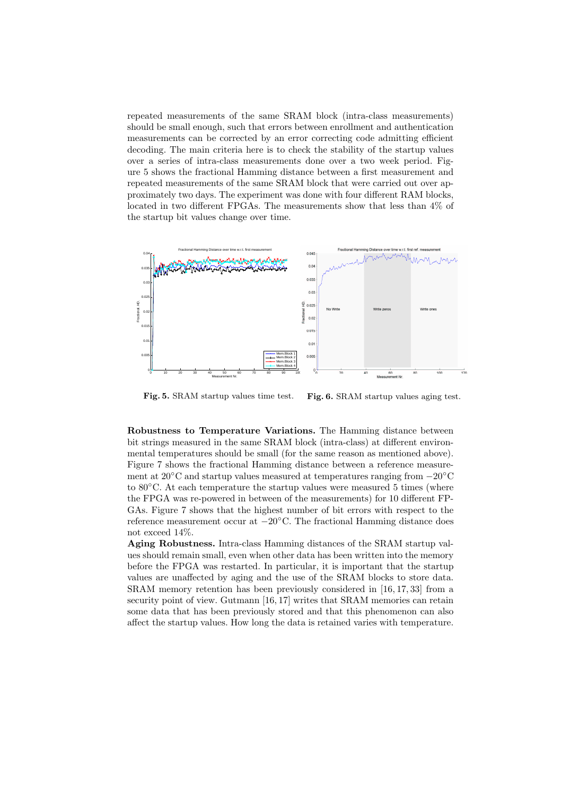repeated measurements of the same SRAM block (intra-class measurements) should be small enough, such that errors between enrollment and authentication measurements can be corrected by an error correcting code admitting efficient decoding. The main criteria here is to check the stability of the startup values over a series of intra-class measurements done over a two week period. Figure 5 shows the fractional Hamming distance between a first measurement and repeated measurements of the same SRAM block that were carried out over approximately two days. The experiment was done with four different RAM blocks, located in two different FPGAs. The measurements show that less than 4% of the startup bit values change over time.



Fig. 5. SRAM startup values time test. Fig. 6. SRAM startup values aging test.

Robustness to Temperature Variations. The Hamming distance between bit strings measured in the same SRAM block (intra-class) at different environmental temperatures should be small (for the same reason as mentioned above). Figure 7 shows the fractional Hamming distance between a reference measurement at 20◦C and startup values measured at temperatures ranging from −20◦C to 80◦C. At each temperature the startup values were measured 5 times (where the FPGA was re-powered in between of the measurements) for 10 different FP-GAs. Figure 7 shows that the highest number of bit errors with respect to the reference measurement occur at −20◦C. The fractional Hamming distance does not exceed 14%.

Aging Robustness. Intra-class Hamming distances of the SRAM startup values should remain small, even when other data has been written into the memory before the FPGA was restarted. In particular, it is important that the startup values are unaffected by aging and the use of the SRAM blocks to store data. SRAM memory retention has been previously considered in [16, 17, 33] from a security point of view. Gutmann [16, 17] writes that SRAM memories can retain some data that has been previously stored and that this phenomenon can also affect the startup values. How long the data is retained varies with temperature.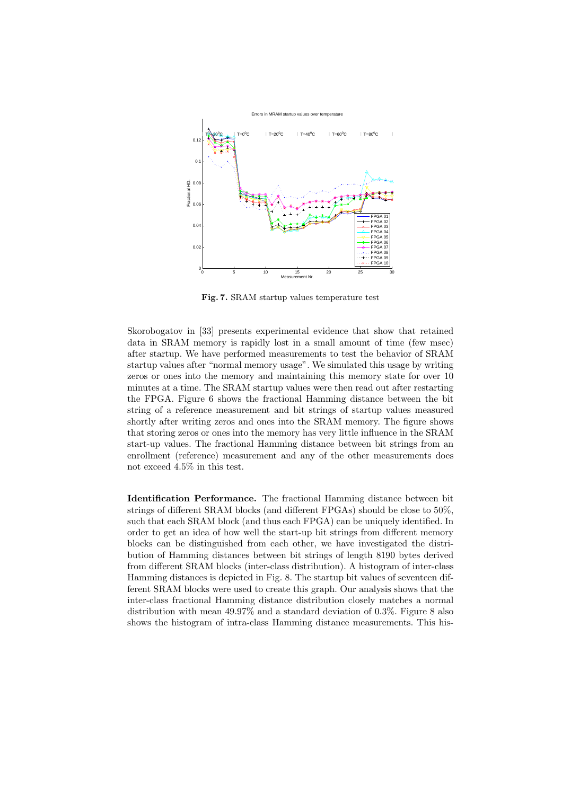

Fig. 7. SRAM startup values temperature test

Skorobogatov in [33] presents experimental evidence that show that retained data in SRAM memory is rapidly lost in a small amount of time (few msec) after startup. We have performed measurements to test the behavior of SRAM startup values after "normal memory usage". We simulated this usage by writing zeros or ones into the memory and maintaining this memory state for over 10 minutes at a time. The SRAM startup values were then read out after restarting the FPGA. Figure 6 shows the fractional Hamming distance between the bit string of a reference measurement and bit strings of startup values measured shortly after writing zeros and ones into the SRAM memory. The figure shows that storing zeros or ones into the memory has very little influence in the SRAM start-up values. The fractional Hamming distance between bit strings from an enrollment (reference) measurement and any of the other measurements does not exceed 4.5% in this test.

Identification Performance. The fractional Hamming distance between bit strings of different SRAM blocks (and different FPGAs) should be close to 50%, such that each SRAM block (and thus each FPGA) can be uniquely identified. In order to get an idea of how well the start-up bit strings from different memory blocks can be distinguished from each other, we have investigated the distribution of Hamming distances between bit strings of length 8190 bytes derived from different SRAM blocks (inter-class distribution). A histogram of inter-class Hamming distances is depicted in Fig. 8. The startup bit values of seventeen different SRAM blocks were used to create this graph. Our analysis shows that the inter-class fractional Hamming distance distribution closely matches a normal distribution with mean 49.97% and a standard deviation of 0.3%. Figure 8 also shows the histogram of intra-class Hamming distance measurements. This his-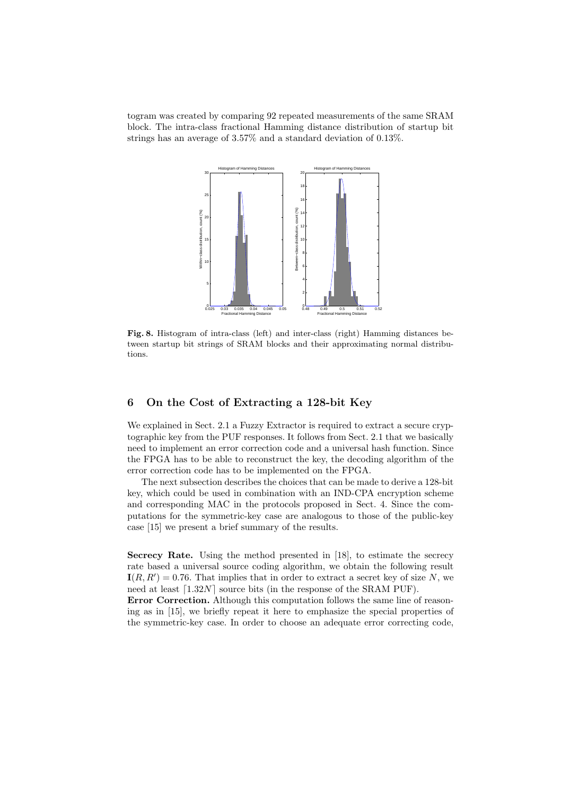togram was created by comparing 92 repeated measurements of the same SRAM block. The intra-class fractional Hamming distance distribution of startup bit strings has an average of 3.57% and a standard deviation of 0.13%.



Fig. 8. Histogram of intra-class (left) and inter-class (right) Hamming distances between startup bit strings of SRAM blocks and their approximating normal distributions.

## 6 On the Cost of Extracting a 128-bit Key

We explained in Sect. 2.1 a Fuzzy Extractor is required to extract a secure cryptographic key from the PUF responses. It follows from Sect. 2.1 that we basically need to implement an error correction code and a universal hash function. Since the FPGA has to be able to reconstruct the key, the decoding algorithm of the error correction code has to be implemented on the FPGA.

The next subsection describes the choices that can be made to derive a 128-bit key, which could be used in combination with an IND-CPA encryption scheme and corresponding MAC in the protocols proposed in Sect. 4. Since the computations for the symmetric-key case are analogous to those of the public-key case [15] we present a brief summary of the results.

Secrecy Rate. Using the method presented in [18], to estimate the secrecy rate based a universal source coding algorithm, we obtain the following result  $I(R, R') = 0.76$ . That implies that in order to extract a secret key of size N, we need at least  $[1.32N]$  source bits (in the response of the SRAM PUF).

Error Correction. Although this computation follows the same line of reasoning as in [15], we briefly repeat it here to emphasize the special properties of the symmetric-key case. In order to choose an adequate error correcting code,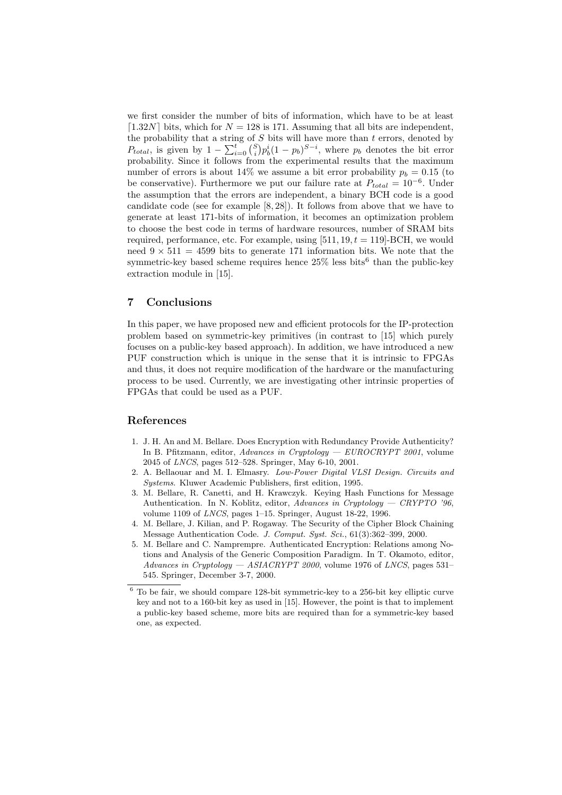we first consider the number of bits of information, which have to be at least [1.32N] bits, which for  $N = 128$  is 171. Assuming that all bits are independent, the probability that a string of  $S$  bits will have more than  $t$  errors, denoted by  $P_{total}$ , is given by  $1 - \sum_{i=0}^{t} {\binom{S}{i}} p_b^i (1-p_b)^{S-i}$ , where  $p_b$  denotes the bit error probability. Since it follows from the experimental results that the maximum number of errors is about 14% we assume a bit error probability  $p_b = 0.15$  (to be conservative). Furthermore we put our failure rate at  $P_{total} = 10^{-6}$ . Under the assumption that the errors are independent, a binary BCH code is a good candidate code (see for example [8, 28]). It follows from above that we have to generate at least 171-bits of information, it becomes an optimization problem to choose the best code in terms of hardware resources, number of SRAM bits required, performance, etc. For example, using  $[511, 19, t = 119]$ -BCH, we would need  $9 \times 511 = 4599$  bits to generate 171 information bits. We note that the symmetric-key based scheme requires hence  $25\%$  less bits<sup>6</sup> than the public-key extraction module in [15].

### 7 Conclusions

In this paper, we have proposed new and efficient protocols for the IP-protection problem based on symmetric-key primitives (in contrast to [15] which purely focuses on a public-key based approach). In addition, we have introduced a new PUF construction which is unique in the sense that it is intrinsic to FPGAs and thus, it does not require modification of the hardware or the manufacturing process to be used. Currently, we are investigating other intrinsic properties of FPGAs that could be used as a PUF.

### References

- 1. J. H. An and M. Bellare. Does Encryption with Redundancy Provide Authenticity? In B. Pfitzmann, editor, Advances in Cryptology — EUROCRYPT 2001, volume 2045 of LNCS, pages 512–528. Springer, May 6-10, 2001.
- 2. A. Bellaouar and M. I. Elmasry. Low-Power Digital VLSI Design. Circuits and Systems. Kluwer Academic Publishers, first edition, 1995.
- 3. M. Bellare, R. Canetti, and H. Krawczyk. Keying Hash Functions for Message Authentication. In N. Koblitz, editor, Advances in Cryptology — CRYPTO '96, volume 1109 of LNCS, pages 1–15. Springer, August 18-22, 1996.
- 4. M. Bellare, J. Kilian, and P. Rogaway. The Security of the Cipher Block Chaining Message Authentication Code. J. Comput. Syst. Sci., 61(3):362–399, 2000.
- 5. M. Bellare and C. Namprempre. Authenticated Encryption: Relations among Notions and Analysis of the Generic Composition Paradigm. In T. Okamoto, editor, Advances in Cryptology  $-$  ASIACRYPT 2000, volume 1976 of LNCS, pages 531– 545. Springer, December 3-7, 2000.

 $6$  To be fair, we should compare 128-bit symmetric-key to a 256-bit key elliptic curve key and not to a 160-bit key as used in [15]. However, the point is that to implement a public-key based scheme, more bits are required than for a symmetric-key based one, as expected.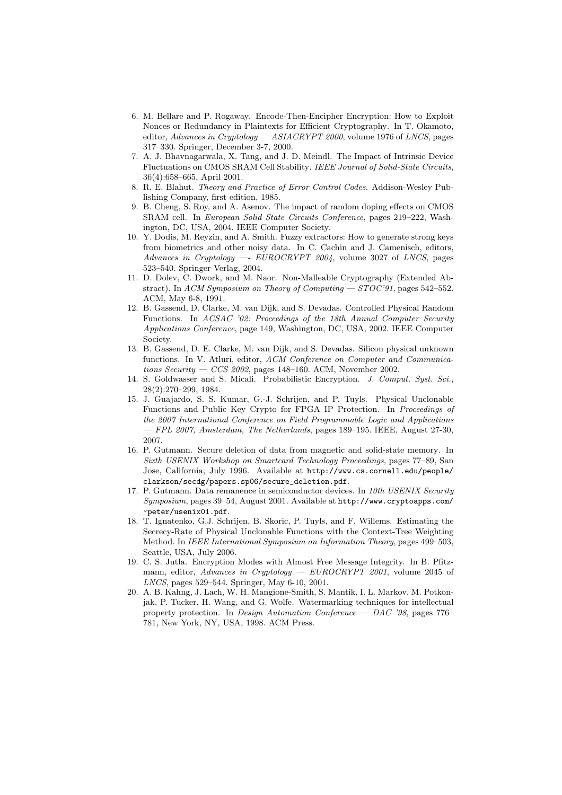- 6. M. Bellare and P. Rogaway. Encode-Then-Encipher Encryption: How to Exploit Nonces or Redundancy in Plaintexts for Efficient Cryptography. In T. Okamoto, editor, Advances in Cryptology  $-$  ASIACRYPT 2000, volume 1976 of LNCS, pages 317–330. Springer, December 3-7, 2000.
- 7. A. J. Bhavnagarwala, X. Tang, and J. D. Meindl. The Impact of Intrinsic Device Fluctuations on CMOS SRAM Cell Stability. IEEE Journal of Solid-State Circuits, 36(4):658–665, April 2001.
- 8. R. E. Blahut. Theory and Practice of Error Control Codes. Addison-Wesley Publishing Company, first edition, 1985.
- 9. B. Cheng, S. Roy, and A. Asenov. The impact of random doping effects on CMOS SRAM cell. In European Solid State Circuits Conference, pages 219–222, Washington, DC, USA, 2004. IEEE Computer Society.
- 10. Y. Dodis, M. Reyzin, and A. Smith. Fuzzy extractors: How to generate strong keys from biometrics and other noisy data. In C. Cachin and J. Camenisch, editors, Advances in Cryptology —-  $EUROCRYPT 2004$ , volume 3027 of LNCS, pages 523–540. Springer-Verlag, 2004.
- 11. D. Dolev, C. Dwork, and M. Naor. Non-Malleable Cryptography (Extended Abstract). In ACM Symposium on Theory of Computing  $-$  STOC'91, pages 542-552. ACM, May 6-8, 1991.
- 12. B. Gassend, D. Clarke, M. van Dijk, and S. Devadas. Controlled Physical Random Functions. In ACSAC '02: Proceedings of the 18th Annual Computer Security Applications Conference, page 149, Washington, DC, USA, 2002. IEEE Computer Society.
- 13. B. Gassend, D. E. Clarke, M. van Dijk, and S. Devadas. Silicon physical unknown functions. In V. Atluri, editor, ACM Conference on Computer and Communications Security — CCS 2002, pages 148-160. ACM, November 2002.
- 14. S. Goldwasser and S. Micali. Probabilistic Encryption. J. Comput. Syst. Sci., 28(2):270–299, 1984.
- 15. J. Guajardo, S. S. Kumar, G.-J. Schrijen, and P. Tuyls. Physical Unclonable Functions and Public Key Crypto for FPGA IP Protection. In Proceedings of the 2007 International Conference on Field Programmable Logic and Applications — FPL 2007, Amsterdam, The Netherlands, pages 189–195. IEEE, August 27-30, 2007.
- 16. P. Gutmann. Secure deletion of data from magnetic and solid-state memory. In Sixth USENIX Workshop on Smartcard Technology Proceedings, pages 77–89, San Jose, California, July 1996. Available at http://www.cs.cornell.edu/people/ clarkson/secdg/papers.sp06/secure\_deletion.pdf.
- 17. P. Gutmann. Data remanence in semiconductor devices. In 10th USENIX Security Symposium, pages 39–54, August 2001. Available at http://www.cryptoapps.com/ ~peter/usenix01.pdf.
- 18. T. Ignatenko, G.J. Schrijen, B. Skoric, P. Tuyls, and F. Willems. Estimating the Secrecy-Rate of Physical Unclonable Functions with the Context-Tree Weighting Method. In IEEE International Symposium on Information Theory, pages 499–503, Seattle, USA, July 2006.
- 19. C. S. Jutla. Encryption Modes with Almost Free Message Integrity. In B. Pfitzmann, editor, Advances in Cryptology — EUROCRYPT 2001, volume 2045 of LNCS, pages 529–544. Springer, May 6-10, 2001.
- 20. A. B. Kahng, J. Lach, W. H. Mangione-Smith, S. Mantik, I. L. Markov, M. Potkonjak, P. Tucker, H. Wang, and G. Wolfe. Watermarking techniques for intellectual property protection. In Design Automation Conference — DAC '98, pages 776– 781, New York, NY, USA, 1998. ACM Press.